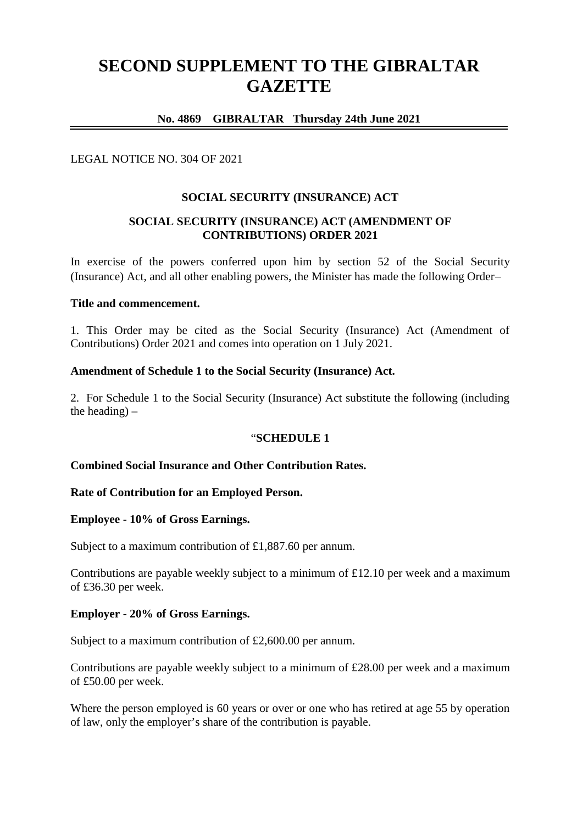# **SECOND SUPPLEMENT TO THE GIBRALTAR GAZETTE**

# **No. 4869 GIBRALTAR Thursday 24th June 2021**

## LEGAL NOTICE NO. 304 OF 2021

### **SOCIAL SECURITY (INSURANCE) ACT**

## **SOCIAL SECURITY (INSURANCE) ACT (AMENDMENT OF CONTRIBUTIONS) ORDER 2021**

In exercise of the powers conferred upon him by section 52 of the Social Security (Insurance) Act, and all other enabling powers, the Minister has made the following Order

#### **Title and commencement.**

1. This Order may be cited as the Social Security (Insurance) Act (Amendment of Contributions) Order 2021 and comes into operation on 1 July 2021.

### **Amendment of Schedule 1 to the Social Security (Insurance) Act.**

2. For Schedule 1 to the Social Security (Insurance) Act substitute the following (including the heading) –

#### "**SCHEDULE 1**

## **Combined Social Insurance and Other Contribution Rates.**

#### **Rate of Contribution for an Employed Person.**

#### **Employee - 10% of Gross Earnings.**

Subject to a maximum contribution of £1,887.60 per annum.

Contributions are payable weekly subject to a minimum of £12.10 per week and a maximum of £36.30 per week.

#### **Employer - 20% of Gross Earnings.**

Subject to a maximum contribution of £2,600.00 per annum.

Contributions are payable weekly subject to a minimum of £28.00 per week and a maximum of £50.00 per week.

Where the person employed is 60 years or over or one who has retired at age 55 by operation of law, only the employer's share of the contribution is payable.